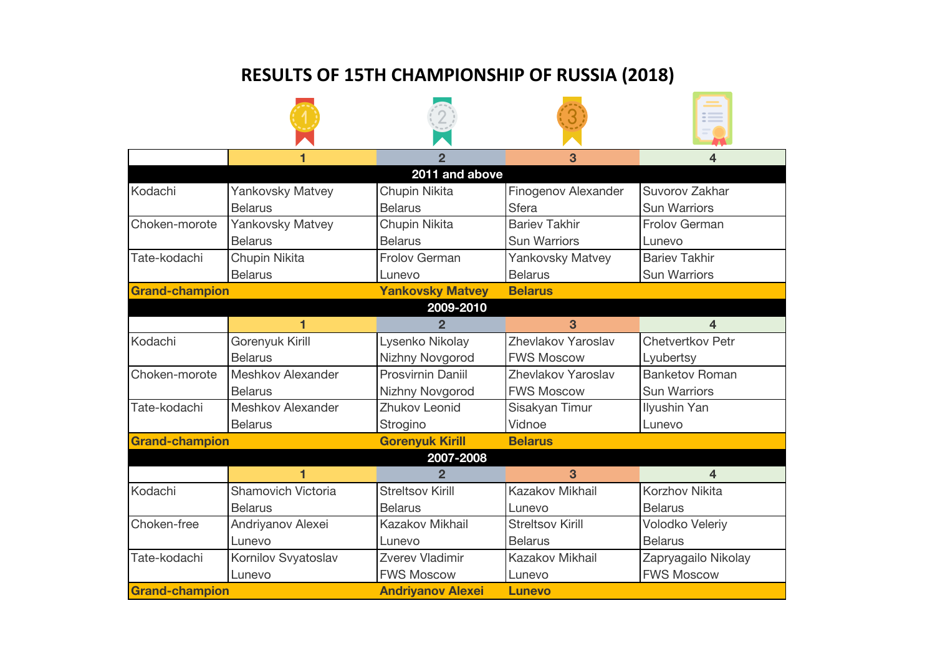## **RESULTS OF 15TH CHAMPIONSHIP OF RUSSIA (2018)**

|                       |                           | 2                        | 3                       | 4                       |  |  |  |
|-----------------------|---------------------------|--------------------------|-------------------------|-------------------------|--|--|--|
| 2011 and above        |                           |                          |                         |                         |  |  |  |
| Kodachi               | Yankovsky Matvey          | Chupin Nikita            | Finogenov Alexander     | Suvorov Zakhar          |  |  |  |
|                       | <b>Belarus</b>            | <b>Belarus</b>           | <b>Sfera</b>            | <b>Sun Warriors</b>     |  |  |  |
| Choken-morote         | <b>Yankovsky Matvey</b>   | Chupin Nikita            | <b>Bariev Takhir</b>    | <b>Frolov German</b>    |  |  |  |
|                       | <b>Belarus</b>            | <b>Belarus</b>           | <b>Sun Warriors</b>     | Lunevo                  |  |  |  |
| Tate-kodachi          | Chupin Nikita             | Frolov German            | <b>Yankovsky Matvey</b> | <b>Bariev Takhir</b>    |  |  |  |
|                       | <b>Belarus</b>            | Lunevo                   | <b>Belarus</b>          | <b>Sun Warriors</b>     |  |  |  |
| <b>Grand-champion</b> |                           | <b>Yankovsky Matvey</b>  | <b>Belarus</b>          |                         |  |  |  |
|                       |                           | 2009-2010                |                         |                         |  |  |  |
|                       |                           |                          | 3                       | 4                       |  |  |  |
| Kodachi               | Gorenyuk Kirill           | Lysenko Nikolay          | Zhevlakov Yaroslav      | <b>Chetvertkov Petr</b> |  |  |  |
|                       | <b>Belarus</b>            | Nizhny Novgorod          | <b>FWS Moscow</b>       | Lyubertsy               |  |  |  |
| Choken-morote         | Meshkov Alexander         | <b>Prosvirnin Daniil</b> | Zhevlakov Yaroslav      | <b>Banketov Roman</b>   |  |  |  |
|                       | <b>Belarus</b>            | Nizhny Novgorod          | <b>FWS Moscow</b>       | <b>Sun Warriors</b>     |  |  |  |
| Tate-kodachi          | Meshkov Alexander         | Zhukov Leonid            | Sisakyan Timur          | Ilyushin Yan            |  |  |  |
|                       | <b>Belarus</b>            | Strogino                 | Vidnoe                  | Lunevo                  |  |  |  |
| <b>Grand-champion</b> |                           | <b>Gorenyuk Kirill</b>   | <b>Belarus</b>          |                         |  |  |  |
| 2007-2008             |                           |                          |                         |                         |  |  |  |
|                       |                           | 2                        | 3                       | 4                       |  |  |  |
| Kodachi               | <b>Shamovich Victoria</b> | <b>Streltsov Kirill</b>  | Kazakov Mikhail         | <b>Korzhov Nikita</b>   |  |  |  |
|                       | <b>Belarus</b>            | <b>Belarus</b>           | Lunevo                  | <b>Belarus</b>          |  |  |  |
| Choken-free           | Andriyanov Alexei         | Kazakov Mikhail          | <b>Streltsov Kirill</b> | Volodko Veleriy         |  |  |  |
|                       | Lunevo                    | Lunevo                   | <b>Belarus</b>          | <b>Belarus</b>          |  |  |  |
| Tate-kodachi          | Kornilov Svyatoslav       | Zverev Vladimir          | Kazakov Mikhail         | Zapryagailo Nikolay     |  |  |  |
|                       | Lunevo                    | <b>FWS Moscow</b>        | Lunevo                  | <b>FWS Moscow</b>       |  |  |  |
| <b>Grand-champion</b> |                           | <b>Andriyanov Alexei</b> | <b>Lunevo</b>           |                         |  |  |  |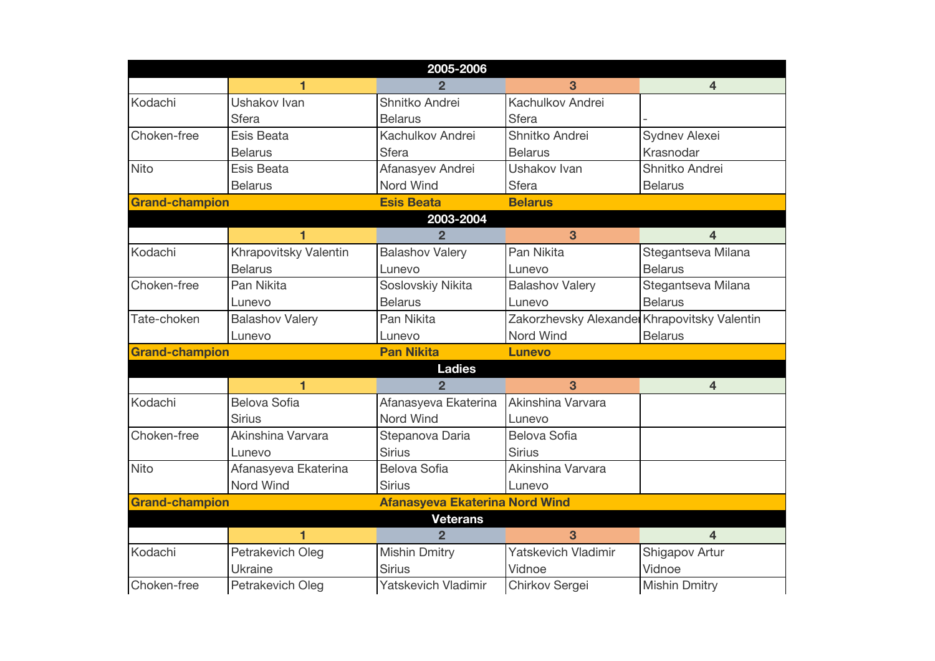| 2005-2006             |                         |                                       |                                              |                      |  |
|-----------------------|-------------------------|---------------------------------------|----------------------------------------------|----------------------|--|
|                       | $\overline{\mathbf{1}}$ | $\overline{2}$                        | 3                                            | $\overline{4}$       |  |
| Kodachi               | Ushakov Ivan            | Shnitko Andrei                        | Kachulkov Andrei                             |                      |  |
|                       | <b>Sfera</b>            | <b>Belarus</b>                        | <b>Sfera</b>                                 |                      |  |
| Choken-free           | Esis Beata              | Kachulkov Andrei                      | Shnitko Andrei                               | Sydnev Alexei        |  |
|                       | <b>Belarus</b>          | <b>Sfera</b>                          | <b>Belarus</b>                               | Krasnodar            |  |
| <b>Nito</b>           | Esis Beata              | Afanasyev Andrei                      | Ushakov Ivan                                 | Shnitko Andrei       |  |
|                       | <b>Belarus</b>          | Nord Wind                             | <b>Sfera</b>                                 | <b>Belarus</b>       |  |
| <b>Grand-champion</b> |                         | <b>Esis Beata</b>                     | <b>Belarus</b>                               |                      |  |
|                       |                         | 2003-2004                             |                                              |                      |  |
|                       |                         | $\mathbf{2}$                          | 3                                            | 4                    |  |
| Kodachi               | Khrapovitsky Valentin   | <b>Balashov Valery</b>                | Pan Nikita                                   | Stegantseva Milana   |  |
|                       | <b>Belarus</b>          | Lunevo                                | Lunevo                                       | <b>Belarus</b>       |  |
| Choken-free           | Pan Nikita              | Soslovskiy Nikita                     | <b>Balashov Valery</b>                       | Stegantseva Milana   |  |
|                       | Lunevo                  | <b>Belarus</b>                        | Lunevo                                       | <b>Belarus</b>       |  |
| Tate-choken           | <b>Balashov Valery</b>  | Pan Nikita                            | Zakorzhevsky Alexander Khrapovitsky Valentin |                      |  |
|                       | Lunevo                  | Lunevo                                | Nord Wind                                    | <b>Belarus</b>       |  |
| <b>Grand-champion</b> |                         | <b>Pan Nikita</b>                     | <b>Lunevo</b>                                |                      |  |
|                       |                         | <b>Ladies</b>                         |                                              |                      |  |
|                       | $\overline{\mathbf{1}}$ | $\overline{2}$                        | $\overline{3}$                               | $\overline{4}$       |  |
| Kodachi               | Belova Sofia            | Afanasyeva Ekaterina                  | Akinshina Varvara                            |                      |  |
|                       | <b>Sirius</b>           | Nord Wind                             | Lunevo                                       |                      |  |
| Choken-free           | Akinshina Varvara       | Stepanova Daria                       | Belova Sofia                                 |                      |  |
|                       | Lunevo                  | <b>Sirius</b>                         | <b>Sirius</b>                                |                      |  |
| Nito                  | Afanasyeva Ekaterina    | <b>Belova Sofia</b>                   | Akinshina Varvara                            |                      |  |
|                       | <b>Nord Wind</b>        | <b>Sirius</b>                         | Lunevo                                       |                      |  |
| <b>Grand-champion</b> |                         | <b>Afanasyeva Ekaterina Nord Wind</b> |                                              |                      |  |
|                       |                         | <b>Veterans</b>                       |                                              |                      |  |
|                       | 1                       | $\overline{2}$                        | 3                                            | $\overline{4}$       |  |
| Kodachi               | Petrakevich Oleg        | <b>Mishin Dmitry</b>                  | Yatskevich Vladimir                          | Shigapov Artur       |  |
|                       | Ukraine                 | <b>Sirius</b>                         | Vidnoe                                       | Vidnoe               |  |
| Choken-free           | Petrakevich Oleg        | Yatskevich Vladimir                   | Chirkov Sergei                               | <b>Mishin Dmitry</b> |  |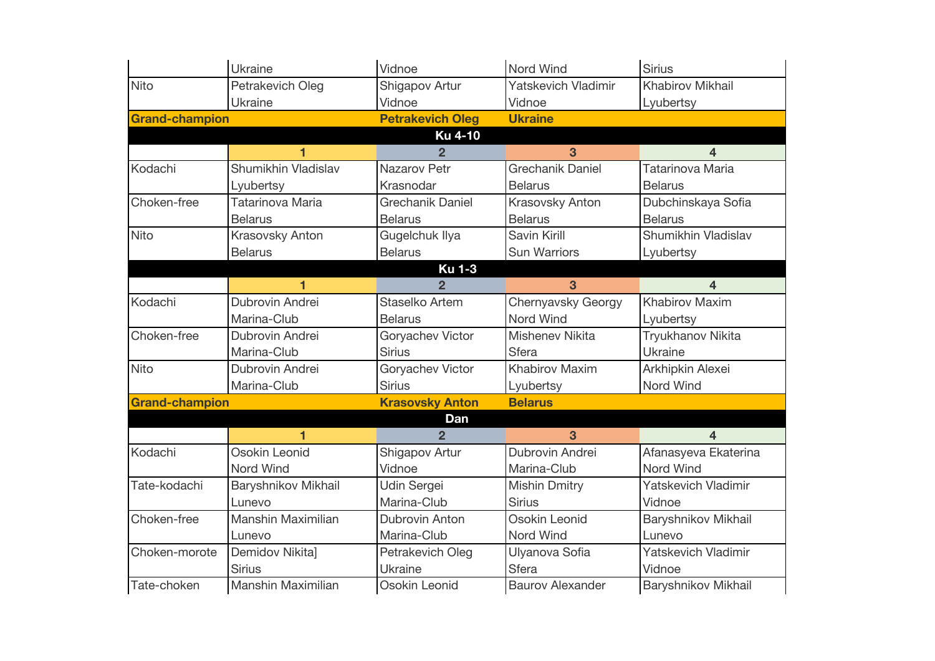|                       | Ukraine               | Vidnoe                  | <b>Nord Wind</b>                         | <b>Sirius</b>           |  |
|-----------------------|-----------------------|-------------------------|------------------------------------------|-------------------------|--|
| <b>Nito</b>           | Petrakevich Oleg      | Shigapov Artur          | Yatskevich Vladimir                      | Khabirov Mikhail        |  |
|                       | <b>Ukraine</b>        | Vidnoe                  | Vidnoe                                   | Lyubertsy               |  |
| <b>Grand-champion</b> |                       | <b>Petrakevich Oleg</b> | <b>Ukraine</b>                           |                         |  |
|                       |                       | <b>Ku 4-10</b>          |                                          |                         |  |
|                       | $\blacksquare$        | $\overline{2}$          | 3                                        | $\overline{4}$          |  |
| Kodachi               | Shumikhin Vladislav   | Nazarov Petr            | <b>Grechanik Daniel</b>                  | Tatarinova Maria        |  |
|                       | Lyubertsy             | Krasnodar               | <b>Belarus</b>                           | <b>Belarus</b>          |  |
| Choken-free           | Tatarinova Maria      | <b>Grechanik Daniel</b> | Krasovsky Anton                          | Dubchinskaya Sofia      |  |
|                       | <b>Belarus</b>        | <b>Belarus</b>          | <b>Belarus</b>                           | <b>Belarus</b>          |  |
| Nito                  | Krasovsky Anton       | Gugelchuk Ilya          | Savin Kirill                             | Shumikhin Vladislav     |  |
|                       | <b>Belarus</b>        | <b>Belarus</b>          | Sun Warriors                             | Lyubertsy               |  |
|                       |                       | <b>Ku 1-3</b>           |                                          |                         |  |
|                       | $\blacksquare$        | $\overline{2}$          | 3                                        | $\overline{\mathbf{4}}$ |  |
| Kodachi               | Dubrovin Andrei       | Staselko Artem          | Chernyavsky Georgy                       | <b>Khabirov Maxim</b>   |  |
|                       | Marina-Club           | <b>Belarus</b>          | <b>Nord Wind</b>                         | Lyubertsy               |  |
| Choken-free           | Dubrovin Andrei       | Goryachev Victor        | <b>Mishenev Nikita</b>                   | Tryukhanov Nikita       |  |
|                       | Marina-Club           | <b>Sirius</b>           | <b>Sfera</b>                             | Ukraine                 |  |
| <b>Nito</b>           | Dubrovin Andrei       | Goryachev Victor        | <b>Khabirov Maxim</b>                    | Arkhipkin Alexei        |  |
|                       | Marina-Club           | <b>Sirius</b>           | Lyubertsy                                | Nord Wind               |  |
|                       | <b>Grand-champion</b> |                         | <b>Krasovsky Anton</b><br><b>Belarus</b> |                         |  |
|                       |                       | Dan                     |                                          |                         |  |
|                       | 1                     | $\overline{2}$          | 3                                        | $\overline{\mathbf{4}}$ |  |
| Kodachi               | Osokin Leonid         | Shigapov Artur          | Dubrovin Andrei                          | Afanasyeva Ekaterina    |  |
|                       | Nord Wind             | Vidnoe                  | Marina-Club                              | Nord Wind               |  |
| Tate-kodachi          | Baryshnikov Mikhail   | Udin Sergei             | <b>Mishin Dmitry</b>                     | Yatskevich Vladimir     |  |
|                       | Lunevo                | Marina-Club             | <b>Sirius</b>                            | Vidnoe                  |  |
| Choken-free           | Manshin Maximilian    | <b>Dubrovin Anton</b>   | Osokin Leonid                            | Baryshnikov Mikhail     |  |
|                       | Lunevo                | Marina-Club             | Nord Wind                                | Lunevo                  |  |
| Choken-morote         | Demidov Nikita]       | Petrakevich Oleg        | Ulyanova Sofia                           | Yatskevich Vladimir     |  |
|                       | <b>Sirius</b>         | <b>Ukraine</b>          | Sfera                                    | Vidnoe                  |  |
| Tate-choken           | Manshin Maximilian    | Osokin Leonid           | <b>Baurov Alexander</b>                  | Baryshnikov Mikhail     |  |